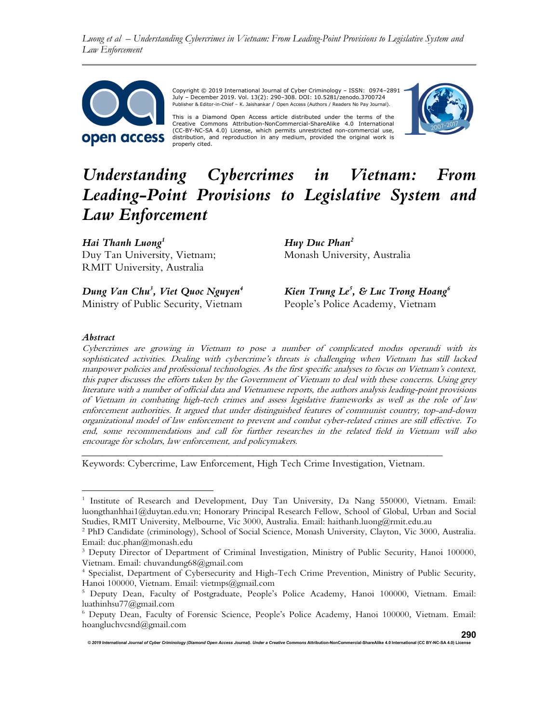Luong et al – Understanding Cybercrimes in Vietnam: From Leading-Point Provisions to Legislative System and Law Enforcement



Copyright © 2019 International Journal of Cyber Criminology – ISSN: 0974–2891<br>July – December 2019. Vol. 13(2): 290–308. DOI: 10.5281/zenodo.3700724<br>Publisher & Editor-in-Chief – K. Jaishankar / Open Access (Authors / Rea

This is a Diamond Open Access article distributed under the terms of the Creative Commons Attribution-NonCommercial-ShareAlike 4.0 International (CC-BY-NC-SA 4.0) License, which permits unrestricted non-commercial use, distribution, and reproduction in any medium, provided the original work is properly cited.



# Understanding Cybercrimes in Vietnam: From Leading-Point Provisions to Legislative System and Law Enforcement

Hai Thanh Luong<sup>1</sup> Duy Tan University, Vietnam; RMIT University, Australia

Dung Van Chu<sup>3</sup>, Viet Quoc Nguyen<sup>4</sup> Ministry of Public Security, Vietnam Huy Duc Phan<sup>2</sup> Monash University, Australia

Kien Trung Le<sup>5</sup>, & Luc Trong Hoang<sup>6</sup> People's Police Academy, Vietnam

#### Abstract

Cybercrimes are growing in Vietnam to pose a number of complicated modus operandi with its sophisticated activities. Dealing with cybercrime's threats is challenging when Vietnam has still lacked manpower policies and professional technologies. As the first specific analyses to focus on Vietnam's context, this paper discusses the efforts taken by the Government of Vietnam to deal with these concerns. Using grey literature with a number of official data and Vietnamese reports, the authors analysis leading-point provisions of Vietnam in combating high-tech crimes and assess legislative frameworks as well as the role of law enforcement authorities. It argued that under distinguished features of communist country, top-and-down organizational model of law enforcement to prevent and combat cyber-related crimes are still effective. To end, some recommendations and call for further researches in the related field in Vietnam will also encourage for scholars, law enforcement, and policymakers.

Keywords: Cybercrime, Law Enforcement, High Tech Crime Investigation, Vietnam.

<sup>&</sup>lt;sup>1</sup> Institute of Research and Development, Duy Tan University, Da Nang 550000, Vietnam. Email: luongthanhhai1@duytan.edu.vn; Honorary Principal Research Fellow, School of Global, Urban and Social Studies, RMIT University, Melbourne, Vic 3000, Australia. Email: haithanh.luong@rmit.edu.au

<sup>2</sup> PhD Candidate (criminology), School of Social Science, Monash University, Clayton, Vic 3000, Australia. Email: duc.phan@monash.edu

<sup>&</sup>lt;sup>3</sup> Deputy Director of Department of Criminal Investigation, Ministry of Public Security, Hanoi 100000, Vietnam. Email: chuvandung68@gmail.com

<sup>4</sup> Specialist, Department of Cybersecurity and High-Tech Crime Prevention, Ministry of Public Security, Hanoi 100000, Vietnam. Email: vietmps@gmail.com

<sup>5</sup> Deputy Dean, Faculty of Postgraduate, People's Police Academy, Hanoi 100000, Vietnam. Email: luathinhsu77@gmail.com

<sup>6</sup> Deputy Dean, Faculty of Forensic Science, People's Police Academy, Hanoi 100000, Vietnam. Email: hoangluchvcsnd@gmail.com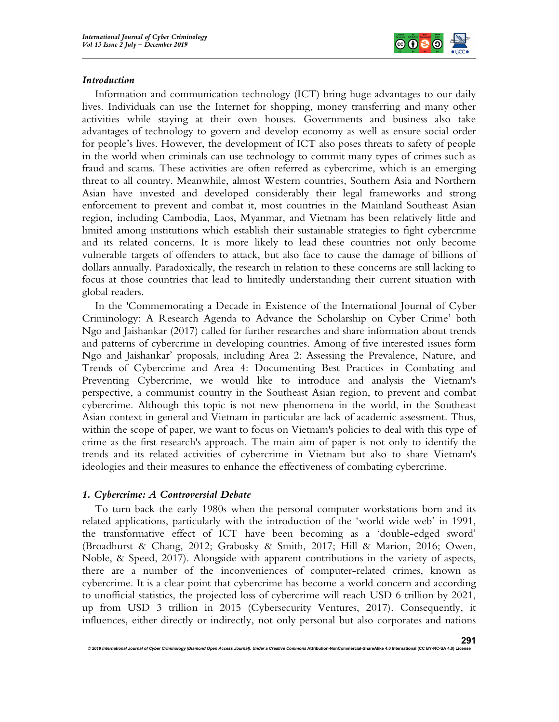

## Introduction

Information and communication technology (ICT) bring huge advantages to our daily lives. Individuals can use the Internet for shopping, money transferring and many other activities while staying at their own houses. Governments and business also take advantages of technology to govern and develop economy as well as ensure social order for people's lives. However, the development of ICT also poses threats to safety of people in the world when criminals can use technology to commit many types of crimes such as fraud and scams. These activities are often referred as cybercrime, which is an emerging threat to all country. Meanwhile, almost Western countries, Southern Asia and Northern Asian have invested and developed considerably their legal frameworks and strong enforcement to prevent and combat it, most countries in the Mainland Southeast Asian region, including Cambodia, Laos, Myanmar, and Vietnam has been relatively little and limited among institutions which establish their sustainable strategies to fight cybercrime and its related concerns. It is more likely to lead these countries not only become vulnerable targets of offenders to attack, but also face to cause the damage of billions of dollars annually. Paradoxically, the research in relation to these concerns are still lacking to focus at those countries that lead to limitedly understanding their current situation with global readers.

In the 'Commemorating a Decade in Existence of the International Journal of Cyber Criminology: A Research Agenda to Advance the Scholarship on Cyber Crime' both Ngo and Jaishankar (2017) called for further researches and share information about trends and patterns of cybercrime in developing countries. Among of five interested issues form Ngo and Jaishankar' proposals, including Area 2: Assessing the Prevalence, Nature, and Trends of Cybercrime and Area 4: Documenting Best Practices in Combating and Preventing Cybercrime, we would like to introduce and analysis the Vietnam's perspective, a communist country in the Southeast Asian region, to prevent and combat cybercrime. Although this topic is not new phenomena in the world, in the Southeast Asian context in general and Vietnam in particular are lack of academic assessment. Thus, within the scope of paper, we want to focus on Vietnam's policies to deal with this type of crime as the first research's approach. The main aim of paper is not only to identify the trends and its related activities of cybercrime in Vietnam but also to share Vietnam's ideologies and their measures to enhance the effectiveness of combating cybercrime.

# 1. Cybercrime: A Controversial Debate

To turn back the early 1980s when the personal computer workstations born and its related applications, particularly with the introduction of the 'world wide web' in 1991, the transformative effect of ICT have been becoming as a 'double-edged sword' (Broadhurst & Chang, 2012; Grabosky & Smith, 2017; Hill & Marion, 2016; Owen, Noble, & Speed, 2017). Alongside with apparent contributions in the variety of aspects, there are a number of the inconveniences of computer-related crimes, known as cybercrime. It is a clear point that cybercrime has become a world concern and according to unofficial statistics, the projected loss of cybercrime will reach USD 6 trillion by 2021, up from USD 3 trillion in 2015 (Cybersecurity Ventures, 2017). Consequently, it influences, either directly or indirectly, not only personal but also corporates and nations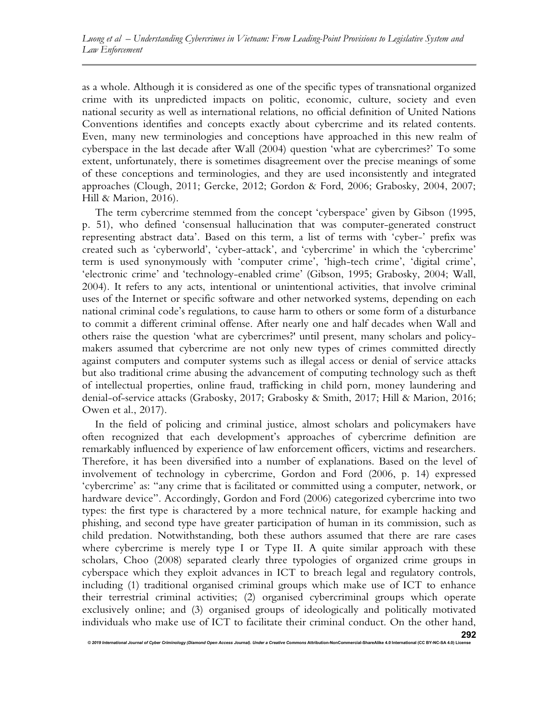as a whole. Although it is considered as one of the specific types of transnational organized crime with its unpredicted impacts on politic, economic, culture, society and even national security as well as international relations, no official definition of United Nations Conventions identifies and concepts exactly about cybercrime and its related contents. Even, many new terminologies and conceptions have approached in this new realm of cyberspace in the last decade after Wall (2004) question 'what are cybercrimes?' To some extent, unfortunately, there is sometimes disagreement over the precise meanings of some of these conceptions and terminologies, and they are used inconsistently and integrated approaches (Clough, 2011; Gercke, 2012; Gordon & Ford, 2006; Grabosky, 2004, 2007; Hill & Marion, 2016).

The term cybercrime stemmed from the concept 'cyberspace' given by Gibson (1995, p. 51), who defined 'consensual hallucination that was computer-generated construct representing abstract data'. Based on this term, a list of terms with 'cyber-' prefix was created such as 'cyberworld', 'cyber-attack', and 'cybercrime' in which the 'cybercrime' term is used synonymously with 'computer crime', 'high-tech crime', 'digital crime', 'electronic crime' and 'technology-enabled crime' (Gibson, 1995; Grabosky, 2004; Wall, 2004). It refers to any acts, intentional or unintentional activities, that involve criminal uses of the Internet or specific software and other networked systems, depending on each national criminal code's regulations, to cause harm to others or some form of a disturbance to commit a different criminal offense. After nearly one and half decades when Wall and others raise the question 'what are cybercrimes?' until present, many scholars and policymakers assumed that cybercrime are not only new types of crimes committed directly against computers and computer systems such as illegal access or denial of service attacks but also traditional crime abusing the advancement of computing technology such as theft of intellectual properties, online fraud, trafficking in child porn, money laundering and denial-of-service attacks (Grabosky, 2017; Grabosky & Smith, 2017; Hill & Marion, 2016; Owen et al., 2017).

In the field of policing and criminal justice, almost scholars and policymakers have often recognized that each development's approaches of cybercrime definition are remarkably influenced by experience of law enforcement officers, victims and researchers. Therefore, it has been diversified into a number of explanations. Based on the level of involvement of technology in cybercrime, Gordon and Ford (2006, p. 14) expressed 'cybercrime' as: "any crime that is facilitated or committed using a computer, network, or hardware device". Accordingly, Gordon and Ford (2006) categorized cybercrime into two types: the first type is charactered by a more technical nature, for example hacking and phishing, and second type have greater participation of human in its commission, such as child predation. Notwithstanding, both these authors assumed that there are rare cases where cybercrime is merely type I or Type II. A quite similar approach with these scholars, Choo (2008) separated clearly three typologies of organized crime groups in cyberspace which they exploit advances in ICT to breach legal and regulatory controls, including (1) traditional organised criminal groups which make use of ICT to enhance their terrestrial criminal activities; (2) organised cybercriminal groups which operate exclusively online; and (3) organised groups of ideologically and politically motivated individuals who make use of ICT to facilitate their criminal conduct. On the other hand,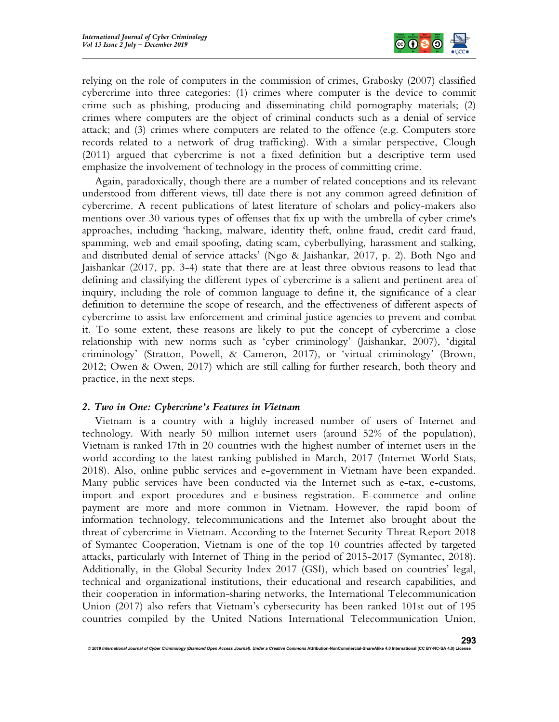

relying on the role of computers in the commission of crimes, Grabosky (2007) classified cybercrime into three categories: (1) crimes where computer is the device to commit crime such as phishing, producing and disseminating child pornography materials; (2) crimes where computers are the object of criminal conducts such as a denial of service attack; and (3) crimes where computers are related to the offence (e.g. Computers store records related to a network of drug trafficking). With a similar perspective, Clough (2011) argued that cybercrime is not a fixed definition but a descriptive term used emphasize the involvement of technology in the process of committing crime.

Again, paradoxically, though there are a number of related conceptions and its relevant understood from different views, till date there is not any common agreed definition of cybercrime. A recent publications of latest literature of scholars and policy-makers also mentions over 30 various types of offenses that fix up with the umbrella of cyber crime's approaches, including 'hacking, malware, identity theft, online fraud, credit card fraud, spamming, web and email spoofing, dating scam, cyberbullying, harassment and stalking, and distributed denial of service attacks' (Ngo & Jaishankar, 2017, p. 2). Both Ngo and Jaishankar (2017, pp. 3-4) state that there are at least three obvious reasons to lead that defining and classifying the different types of cybercrime is a salient and pertinent area of inquiry, including the role of common language to define it, the significance of a clear definition to determine the scope of research, and the effectiveness of different aspects of cybercrime to assist law enforcement and criminal justice agencies to prevent and combat it. To some extent, these reasons are likely to put the concept of cybercrime a close relationship with new norms such as 'cyber criminology' (Jaishankar, 2007), 'digital criminology' (Stratton, Powell, & Cameron, 2017), or 'virtual criminology' (Brown, 2012; Owen & Owen, 2017) which are still calling for further research, both theory and practice, in the next steps.

### 2. Two in One: Cybercrime's Features in Vietnam

Vietnam is a country with a highly increased number of users of Internet and technology. With nearly 50 million internet users (around 52% of the population), Vietnam is ranked 17th in 20 countries with the highest number of internet users in the world according to the latest ranking published in March, 2017 (Internet World Stats, 2018). Also, online public services and e-government in Vietnam have been expanded. Many public services have been conducted via the Internet such as e-tax, e-customs, import and export procedures and e-business registration. E-commerce and online payment are more and more common in Vietnam. However, the rapid boom of information technology, telecommunications and the Internet also brought about the threat of cybercrime in Vietnam. According to the Internet Security Threat Report 2018 of Symantec Cooperation, Vietnam is one of the top 10 countries affected by targeted attacks, particularly with Internet of Thing in the period of 2015-2017 (Symantec, 2018). Additionally, in the Global Security Index 2017 (GSI), which based on countries' legal, technical and organizational institutions, their educational and research capabilities, and their cooperation in information-sharing networks, the International Telecommunication Union (2017) also refers that Vietnam's cybersecurity has been ranked 101st out of 195 countries compiled by the United Nations International Telecommunication Union,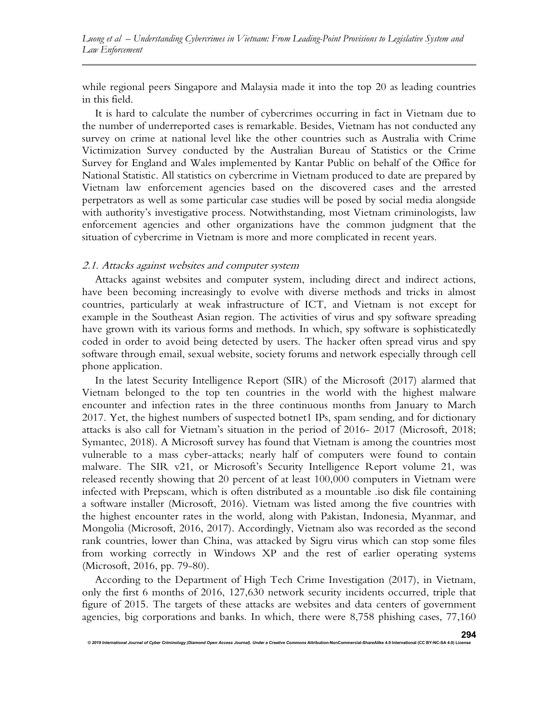Luong et al – Understanding Cybercrimes in Vietnam: From Leading-Point Provisions to Legislative System and Law Enforcement

while regional peers Singapore and Malaysia made it into the top 20 as leading countries in this field.

It is hard to calculate the number of cybercrimes occurring in fact in Vietnam due to the number of underreported cases is remarkable. Besides, Vietnam has not conducted any survey on crime at national level like the other countries such as Australia with Crime Victimization Survey conducted by the Australian Bureau of Statistics or the Crime Survey for England and Wales implemented by Kantar Public on behalf of the Office for National Statistic. All statistics on cybercrime in Vietnam produced to date are prepared by Vietnam law enforcement agencies based on the discovered cases and the arrested perpetrators as well as some particular case studies will be posed by social media alongside with authority's investigative process. Notwithstanding, most Vietnam criminologists, law enforcement agencies and other organizations have the common judgment that the situation of cybercrime in Vietnam is more and more complicated in recent years.

#### 2.1. Attacks against websites and computer system

© 2019 International Journal of Cyber Criminology (Diamond Open Access Journal). Under a Creative Comn

Attacks against websites and computer system, including direct and indirect actions, have been becoming increasingly to evolve with diverse methods and tricks in almost countries, particularly at weak infrastructure of ICT, and Vietnam is not except for example in the Southeast Asian region. The activities of virus and spy software spreading have grown with its various forms and methods. In which, spy software is sophisticatedly coded in order to avoid being detected by users. The hacker often spread virus and spy software through email, sexual website, society forums and network especially through cell phone application.

In the latest Security Intelligence Report (SIR) of the Microsoft (2017) alarmed that Vietnam belonged to the top ten countries in the world with the highest malware encounter and infection rates in the three continuous months from January to March 2017. Yet, the highest numbers of suspected botnet1 IPs, spam sending, and for dictionary attacks is also call for Vietnam's situation in the period of 2016- 2017 (Microsoft, 2018; Symantec, 2018). A Microsoft survey has found that Vietnam is among the countries most vulnerable to a mass cyber-attacks; nearly half of computers were found to contain malware. The SIR v21, or Microsoft's Security Intelligence Report volume 21, was released recently showing that 20 percent of at least 100,000 computers in Vietnam were infected with Prepscam, which is often distributed as a mountable .iso disk file containing a software installer (Microsoft, 2016). Vietnam was listed among the five countries with the highest encounter rates in the world, along with Pakistan, Indonesia, Myanmar, and Mongolia (Microsoft, 2016, 2017). Accordingly, Vietnam also was recorded as the second rank countries, lower than China, was attacked by Sigru virus which can stop some files from working correctly in Windows XP and the rest of earlier operating systems (Microsoft, 2016, pp. 79-80).

According to the Department of High Tech Crime Investigation (2017), in Vietnam, only the first 6 months of 2016, 127,630 network security incidents occurred, triple that figure of 2015. The targets of these attacks are websites and data centers of government agencies, big corporations and banks. In which, there were 8,758 phishing cases, 77,160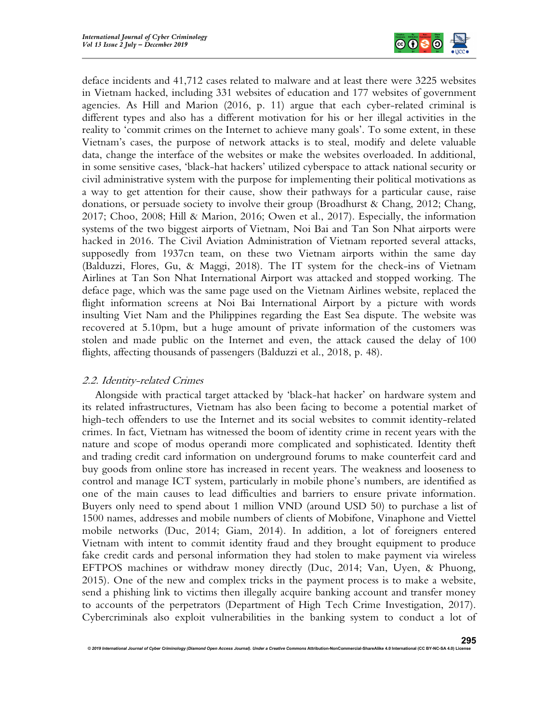

deface incidents and 41,712 cases related to malware and at least there were 3225 websites in Vietnam hacked, including 331 websites of education and 177 websites of government agencies. As Hill and Marion (2016, p. 11) argue that each cyber-related criminal is different types and also has a different motivation for his or her illegal activities in the reality to 'commit crimes on the Internet to achieve many goals'. To some extent, in these Vietnam's cases, the purpose of network attacks is to steal, modify and delete valuable data, change the interface of the websites or make the websites overloaded. In additional, in some sensitive cases, 'black-hat hackers' utilized cyberspace to attack national security or civil administrative system with the purpose for implementing their political motivations as a way to get attention for their cause, show their pathways for a particular cause, raise donations, or persuade society to involve their group (Broadhurst & Chang, 2012; Chang, 2017; Choo, 2008; Hill & Marion, 2016; Owen et al., 2017). Especially, the information systems of the two biggest airports of Vietnam, Noi Bai and Tan Son Nhat airports were hacked in 2016. The Civil Aviation Administration of Vietnam reported several attacks, supposedly from 1937cn team, on these two Vietnam airports within the same day (Balduzzi, Flores, Gu, & Maggi, 2018). The IT system for the check-ins of Vietnam Airlines at Tan Son Nhat International Airport was attacked and stopped working. The deface page, which was the same page used on the Vietnam Airlines website, replaced the flight information screens at Noi Bai International Airport by a picture with words insulting Viet Nam and the Philippines regarding the East Sea dispute. The website was recovered at 5.10pm, but a huge amount of private information of the customers was stolen and made public on the Internet and even, the attack caused the delay of 100 flights, affecting thousands of passengers (Balduzzi et al., 2018, p. 48).

# 2.2. Identity-related Crimes

Alongside with practical target attacked by 'black-hat hacker' on hardware system and its related infrastructures, Vietnam has also been facing to become a potential market of high-tech offenders to use the Internet and its social websites to commit identity-related crimes. In fact, Vietnam has witnessed the boom of identity crime in recent years with the nature and scope of modus operandi more complicated and sophisticated. Identity theft and trading credit card information on underground forums to make counterfeit card and buy goods from online store has increased in recent years. The weakness and looseness to control and manage ICT system, particularly in mobile phone's numbers, are identified as one of the main causes to lead difficulties and barriers to ensure private information. Buyers only need to spend about 1 million VND (around USD 50) to purchase a list of 1500 names, addresses and mobile numbers of clients of Mobifone, Vinaphone and Viettel mobile networks (Duc, 2014; Giam, 2014). In addition, a lot of foreigners entered Vietnam with intent to commit identity fraud and they brought equipment to produce fake credit cards and personal information they had stolen to make payment via wireless EFTPOS machines or withdraw money directly (Duc, 2014; Van, Uyen, & Phuong, 2015). One of the new and complex tricks in the payment process is to make a website, send a phishing link to victims then illegally acquire banking account and transfer money to accounts of the perpetrators (Department of High Tech Crime Investigation, 2017). Cybercriminals also exploit vulnerabilities in the banking system to conduct a lot of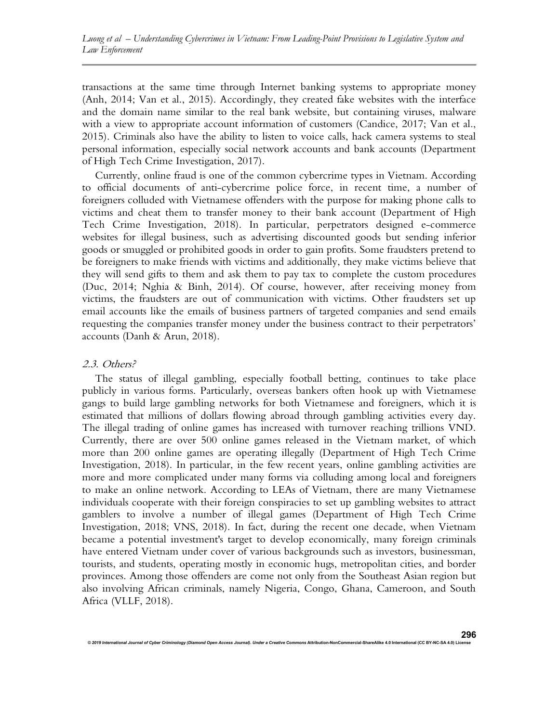transactions at the same time through Internet banking systems to appropriate money (Anh, 2014; Van et al., 2015). Accordingly, they created fake websites with the interface and the domain name similar to the real bank website, but containing viruses, malware with a view to appropriate account information of customers (Candice, 2017; Van et al., 2015). Criminals also have the ability to listen to voice calls, hack camera systems to steal personal information, especially social network accounts and bank accounts (Department of High Tech Crime Investigation, 2017).

Currently, online fraud is one of the common cybercrime types in Vietnam. According to official documents of anti-cybercrime police force, in recent time, a number of foreigners colluded with Vietnamese offenders with the purpose for making phone calls to victims and cheat them to transfer money to their bank account (Department of High Tech Crime Investigation, 2018). In particular, perpetrators designed e-commerce websites for illegal business, such as advertising discounted goods but sending inferior goods or smuggled or prohibited goods in order to gain profits. Some fraudsters pretend to be foreigners to make friends with victims and additionally, they make victims believe that they will send gifts to them and ask them to pay tax to complete the custom procedures (Duc, 2014; Nghia & Binh, 2014). Of course, however, after receiving money from victims, the fraudsters are out of communication with victims. Other fraudsters set up email accounts like the emails of business partners of targeted companies and send emails requesting the companies transfer money under the business contract to their perpetrators' accounts (Danh & Arun, 2018).

#### 2.3. Others?

The status of illegal gambling, especially football betting, continues to take place publicly in various forms. Particularly, overseas bankers often hook up with Vietnamese gangs to build large gambling networks for both Vietnamese and foreigners, which it is estimated that millions of dollars flowing abroad through gambling activities every day. The illegal trading of online games has increased with turnover reaching trillions VND. Currently, there are over 500 online games released in the Vietnam market, of which more than 200 online games are operating illegally (Department of High Tech Crime Investigation, 2018). In particular, in the few recent years, online gambling activities are more and more complicated under many forms via colluding among local and foreigners to make an online network. According to LEAs of Vietnam, there are many Vietnamese individuals cooperate with their foreign conspiracies to set up gambling websites to attract gamblers to involve a number of illegal games (Department of High Tech Crime Investigation, 2018; VNS, 2018). In fact, during the recent one decade, when Vietnam became a potential investment's target to develop economically, many foreign criminals have entered Vietnam under cover of various backgrounds such as investors, businessman, tourists, and students, operating mostly in economic hugs, metropolitan cities, and border provinces. Among those offenders are come not only from the Southeast Asian region but also involving African criminals, namely Nigeria, Congo, Ghana, Cameroon, and South Africa (VLLF, 2018).

296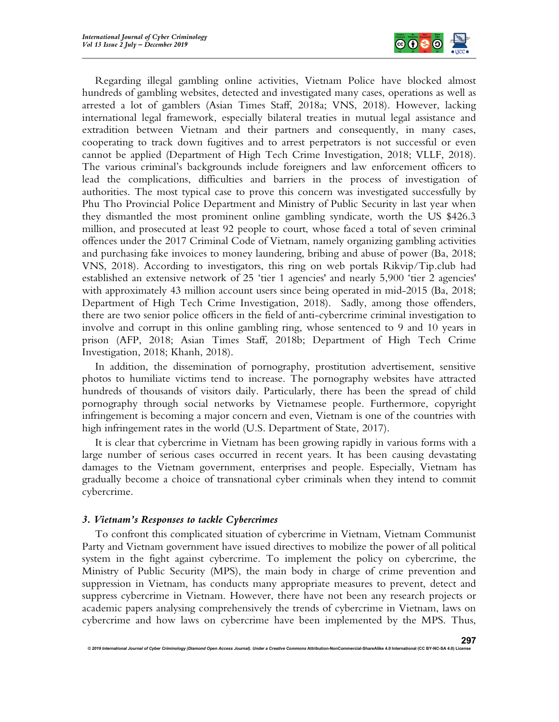

Regarding illegal gambling online activities, Vietnam Police have blocked almost hundreds of gambling websites, detected and investigated many cases, operations as well as arrested a lot of gamblers (Asian Times Staff, 2018a; VNS, 2018). However, lacking international legal framework, especially bilateral treaties in mutual legal assistance and extradition between Vietnam and their partners and consequently, in many cases, cooperating to track down fugitives and to arrest perpetrators is not successful or even cannot be applied (Department of High Tech Crime Investigation, 2018; VLLF, 2018). The various criminal's backgrounds include foreigners and law enforcement officers to lead the complications, difficulties and barriers in the process of investigation of authorities. The most typical case to prove this concern was investigated successfully by Phu Tho Provincial Police Department and Ministry of Public Security in last year when they dismantled the most prominent online gambling syndicate, worth the US \$426.3 million, and prosecuted at least 92 people to court, whose faced a total of seven criminal offences under the 2017 Criminal Code of Vietnam, namely organizing gambling activities and purchasing fake invoices to money laundering, bribing and abuse of power (Ba, 2018; VNS, 2018). According to investigators, this ring on web portals Rikvip/Tip.club had established an extensive network of 25 'tier 1 agencies' and nearly 5,900 'tier 2 agencies' with approximately 43 million account users since being operated in mid-2015 (Ba, 2018; Department of High Tech Crime Investigation, 2018). Sadly, among those offenders, there are two senior police officers in the field of anti-cybercrime criminal investigation to involve and corrupt in this online gambling ring, whose sentenced to 9 and 10 years in prison (AFP, 2018; Asian Times Staff, 2018b; Department of High Tech Crime Investigation, 2018; Khanh, 2018).

In addition, the dissemination of pornography, prostitution advertisement, sensitive photos to humiliate victims tend to increase. The pornography websites have attracted hundreds of thousands of visitors daily. Particularly, there has been the spread of child pornography through social networks by Vietnamese people. Furthermore, copyright infringement is becoming a major concern and even, Vietnam is one of the countries with high infringement rates in the world (U.S. Department of State, 2017).

It is clear that cybercrime in Vietnam has been growing rapidly in various forms with a large number of serious cases occurred in recent years. It has been causing devastating damages to the Vietnam government, enterprises and people. Especially, Vietnam has gradually become a choice of transnational cyber criminals when they intend to commit cybercrime.

### 3. Vietnam's Responses to tackle Cybercrimes

To confront this complicated situation of cybercrime in Vietnam, Vietnam Communist Party and Vietnam government have issued directives to mobilize the power of all political system in the fight against cybercrime. To implement the policy on cybercrime, the Ministry of Public Security (MPS), the main body in charge of crime prevention and suppression in Vietnam, has conducts many appropriate measures to prevent, detect and suppress cybercrime in Vietnam. However, there have not been any research projects or academic papers analysing comprehensively the trends of cybercrime in Vietnam, laws on cybercrime and how laws on cybercrime have been implemented by the MPS. Thus,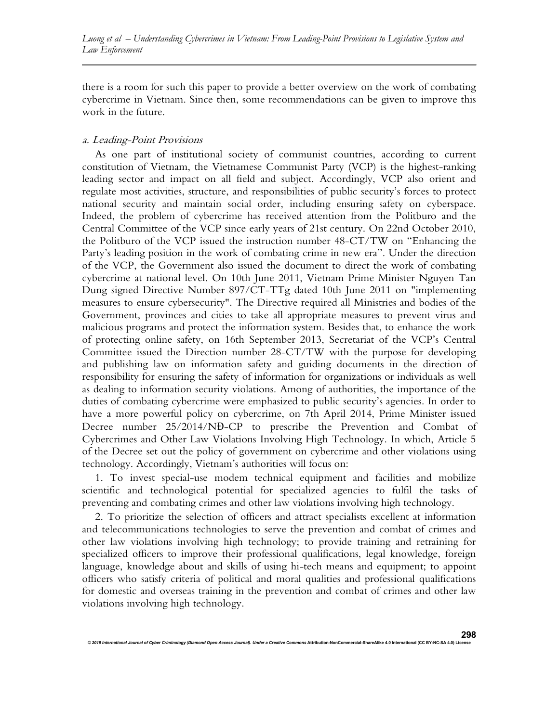there is a room for such this paper to provide a better overview on the work of combating cybercrime in Vietnam. Since then, some recommendations can be given to improve this work in the future.

### a. Leading-Point Provisions

As one part of institutional society of communist countries, according to current constitution of Vietnam, the Vietnamese Communist Party (VCP) is the highest-ranking leading sector and impact on all field and subject. Accordingly, VCP also orient and regulate most activities, structure, and responsibilities of public security's forces to protect national security and maintain social order, including ensuring safety on cyberspace. Indeed, the problem of cybercrime has received attention from the Politburo and the Central Committee of the VCP since early years of 21st century. On 22nd October 2010, the Politburo of the VCP issued the instruction number 48-CT/TW on "Enhancing the Party's leading position in the work of combating crime in new era". Under the direction of the VCP, the Government also issued the document to direct the work of combating cybercrime at national level. On 10th June 2011, Vietnam Prime Minister Nguyen Tan Dung signed Directive Number 897/CT-TTg dated 10th June 2011 on "implementing measures to ensure cybersecurity". The Directive required all Ministries and bodies of the Government, provinces and cities to take all appropriate measures to prevent virus and malicious programs and protect the information system. Besides that, to enhance the work of protecting online safety, on 16th September 2013, Secretariat of the VCP's Central Committee issued the Direction number 28-CT/TW with the purpose for developing and publishing law on information safety and guiding documents in the direction of responsibility for ensuring the safety of information for organizations or individuals as well as dealing to information security violations. Among of authorities, the importance of the duties of combating cybercrime were emphasized to public security's agencies. In order to have a more powerful policy on cybercrime, on 7th April 2014, Prime Minister issued Decree number 25/2014/NĐ-CP to prescribe the Prevention and Combat of Cybercrimes and Other Law Violations Involving High Technology. In which, Article 5 of the Decree set out the policy of government on cybercrime and other violations using technology. Accordingly, Vietnam's authorities will focus on:

1. To invest special-use modem technical equipment and facilities and mobilize scientific and technological potential for specialized agencies to fulfil the tasks of preventing and combating crimes and other law violations involving high technology.

2. To prioritize the selection of officers and attract specialists excellent at information and telecommunications technologies to serve the prevention and combat of crimes and other law violations involving high technology; to provide training and retraining for specialized officers to improve their professional qualifications, legal knowledge, foreign language, knowledge about and skills of using hi-tech means and equipment; to appoint officers who satisfy criteria of political and moral qualities and professional qualifications for domestic and overseas training in the prevention and combat of crimes and other law violations involving high technology.

© 2019 International Journal of Cyber Criminology (Diamond Open Access Journal). Under a Creative Commons Attribution-NonCommercial-ShareAlike 4.0 International (CC BY-NC-SA 4.0) L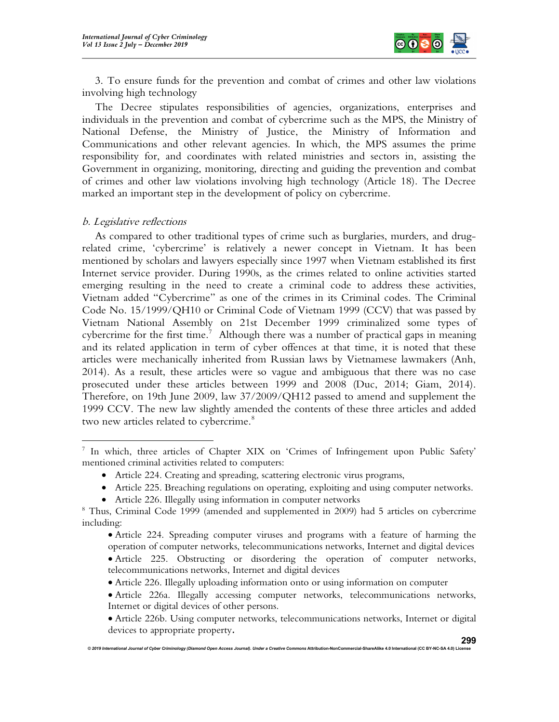

3. To ensure funds for the prevention and combat of crimes and other law violations involving high technology

The Decree stipulates responsibilities of agencies, organizations, enterprises and individuals in the prevention and combat of cybercrime such as the MPS, the Ministry of National Defense, the Ministry of Justice, the Ministry of Information and Communications and other relevant agencies. In which, the MPS assumes the prime responsibility for, and coordinates with related ministries and sectors in, assisting the Government in organizing, monitoring, directing and guiding the prevention and combat of crimes and other law violations involving high technology (Article 18). The Decree marked an important step in the development of policy on cybercrime.

# b. Legislative reflections

As compared to other traditional types of crime such as burglaries, murders, and drugrelated crime, 'cybercrime' is relatively a newer concept in Vietnam. It has been mentioned by scholars and lawyers especially since 1997 when Vietnam established its first Internet service provider. During 1990s, as the crimes related to online activities started emerging resulting in the need to create a criminal code to address these activities, Vietnam added "Cybercrime" as one of the crimes in its Criminal codes. The Criminal Code No. 15/1999/QH10 or Criminal Code of Vietnam 1999 (CCV) that was passed by Vietnam National Assembly on 21st December 1999 criminalized some types of cybercrime for the first time.<sup>7</sup> Although there was a number of practical gaps in meaning and its related application in term of cyber offences at that time, it is noted that these articles were mechanically inherited from Russian laws by Vietnamese lawmakers (Anh, 2014). As a result, these articles were so vague and ambiguous that there was no case prosecuted under these articles between 1999 and 2008 (Duc, 2014; Giam, 2014). Therefore, on 19th June 2009, law 37/2009/QH12 passed to amend and supplement the 1999 CCV. The new law slightly amended the contents of these three articles and added two new articles related to cybercrime.<sup>8</sup>

- Article 225. Breaching regulations on operating, exploiting and using computer networks.
- Article 226. Illegally using information in computer networks

- Article 224. Spreading computer viruses and programs with a feature of harming the operation of computer networks, telecommunications networks, Internet and digital devices Article 225. Obstructing or disordering the operation of computer networks, telecommunications networks, Internet and digital devices
- Article 226. Illegally uploading information onto or using information on computer
- Article 226a. Illegally accessing computer networks, telecommunications networks, Internet or digital devices of other persons.
- Article 226b. Using computer networks, telecommunications networks, Internet or digital devices to appropriate property.

<sup>7</sup> In which, three articles of Chapter XIX on 'Crimes of Infringement upon Public Safety' mentioned criminal activities related to computers:

Article 224. Creating and spreading, scattering electronic virus programs,

<sup>&</sup>lt;sup>8</sup> Thus, Criminal Code 1999 (amended and supplemented in 2009) had 5 articles on cybercrime including: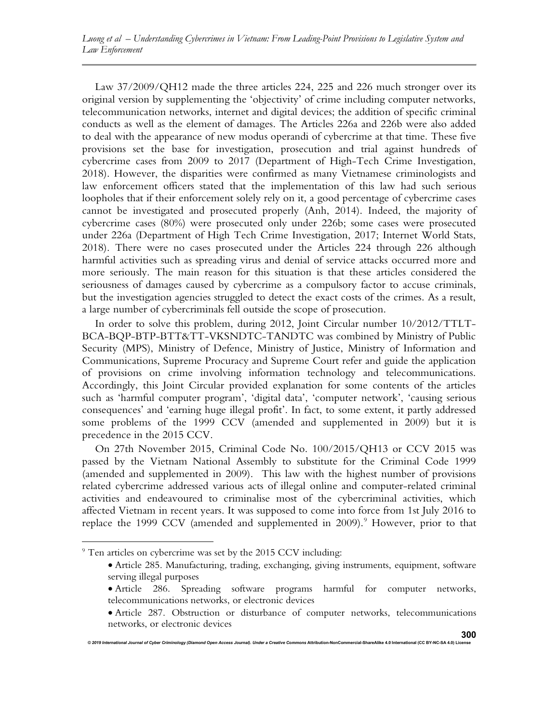Law 37/2009/QH12 made the three articles 224, 225 and 226 much stronger over its original version by supplementing the 'objectivity' of crime including computer networks, telecommunication networks, internet and digital devices; the addition of specific criminal conducts as well as the element of damages. The Articles 226a and 226b were also added to deal with the appearance of new modus operandi of cybercrime at that time. These five provisions set the base for investigation, prosecution and trial against hundreds of cybercrime cases from 2009 to 2017 (Department of High-Tech Crime Investigation, 2018). However, the disparities were confirmed as many Vietnamese criminologists and law enforcement officers stated that the implementation of this law had such serious loopholes that if their enforcement solely rely on it, a good percentage of cybercrime cases cannot be investigated and prosecuted properly (Anh, 2014). Indeed, the majority of cybercrime cases (80%) were prosecuted only under 226b; some cases were prosecuted under 226a (Department of High Tech Crime Investigation, 2017; Internet World Stats, 2018). There were no cases prosecuted under the Articles 224 through 226 although harmful activities such as spreading virus and denial of service attacks occurred more and more seriously. The main reason for this situation is that these articles considered the seriousness of damages caused by cybercrime as a compulsory factor to accuse criminals, but the investigation agencies struggled to detect the exact costs of the crimes. As a result, a large number of cybercriminals fell outside the scope of prosecution.

In order to solve this problem, during 2012, Joint Circular number 10/2012/TTLT-BCA-BQP-BTP-BTT&TT-VKSNDTC-TANDTC was combined by Ministry of Public Security (MPS), Ministry of Defence, Ministry of Justice, Ministry of Information and Communications, Supreme Procuracy and Supreme Court refer and guide the application of provisions on crime involving information technology and telecommunications. Accordingly, this Joint Circular provided explanation for some contents of the articles such as 'harmful computer program', 'digital data', 'computer network', 'causing serious consequences' and 'earning huge illegal profit'. In fact, to some extent, it partly addressed some problems of the 1999 CCV (amended and supplemented in 2009) but it is precedence in the 2015 CCV.

On 27th November 2015, Criminal Code No. 100/2015/QH13 or CCV 2015 was passed by the Vietnam National Assembly to substitute for the Criminal Code 1999 (amended and supplemented in 2009). This law with the highest number of provisions related cybercrime addressed various acts of illegal online and computer-related criminal activities and endeavoured to criminalise most of the cybercriminal activities, which affected Vietnam in recent years. It was supposed to come into force from 1st July 2016 to replace the 1999 CCV (amended and supplemented in  $2009$ ). However, prior to that

 Article 286. Spreading software programs harmful for computer networks, telecommunications networks, or electronic devices

<sup>&</sup>lt;sup>9</sup> Ten articles on cybercrime was set by the 2015 CCV including:

Article 285. Manufacturing, trading, exchanging, giving instruments, equipment, software serving illegal purposes

Article 287. Obstruction or disturbance of computer networks, telecommunications networks, or electronic devices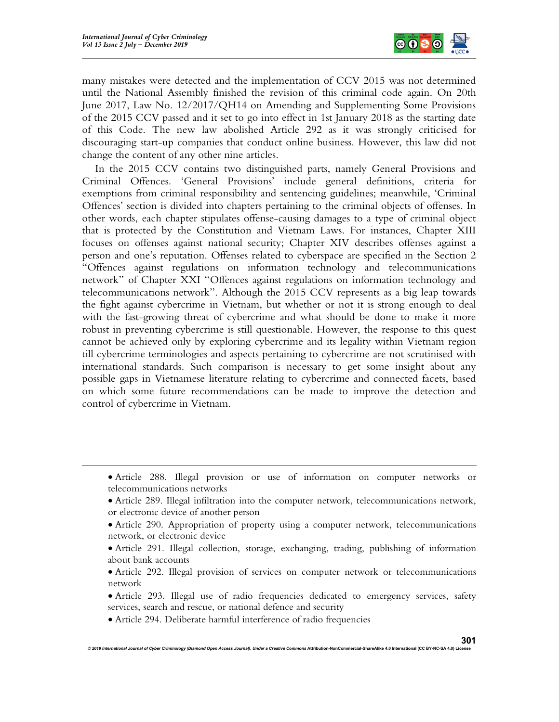

many mistakes were detected and the implementation of CCV 2015 was not determined until the National Assembly finished the revision of this criminal code again. On 20th June 2017, Law No. 12/2017/QH14 on Amending and Supplementing Some Provisions of the 2015 CCV passed and it set to go into effect in 1st January 2018 as the starting date of this Code. The new law abolished Article 292 as it was strongly criticised for discouraging start-up companies that conduct online business. However, this law did not change the content of any other nine articles.

In the 2015 CCV contains two distinguished parts, namely General Provisions and Criminal Offences. 'General Provisions' include general definitions, criteria for exemptions from criminal responsibility and sentencing guidelines; meanwhile, 'Criminal Offences' section is divided into chapters pertaining to the criminal objects of offenses. In other words, each chapter stipulates offense-causing damages to a type of criminal object that is protected by the Constitution and Vietnam Laws. For instances, Chapter XIII focuses on offenses against national security; Chapter XIV describes offenses against a person and one's reputation. Offenses related to cyberspace are specified in the Section 2 "Offences against regulations on information technology and telecommunications network" of Chapter XXI "Offences against regulations on information technology and telecommunications network". Although the 2015 CCV represents as a big leap towards the fight against cybercrime in Vietnam, but whether or not it is strong enough to deal with the fast-growing threat of cybercrime and what should be done to make it more robust in preventing cybercrime is still questionable. However, the response to this quest cannot be achieved only by exploring cybercrime and its legality within Vietnam region till cybercrime terminologies and aspects pertaining to cybercrime are not scrutinised with international standards. Such comparison is necessary to get some insight about any possible gaps in Vietnamese literature relating to cybercrime and connected facets, based on which some future recommendations can be made to improve the detection and control of cybercrime in Vietnam.

Article 294. Deliberate harmful interference of radio frequencies

Article 288. Illegal provision or use of information on computer networks or telecommunications networks

Article 289. Illegal infiltration into the computer network, telecommunications network, or electronic device of another person

Article 290. Appropriation of property using a computer network, telecommunications network, or electronic device

Article 291. Illegal collection, storage, exchanging, trading, publishing of information about bank accounts

Article 292. Illegal provision of services on computer network or telecommunications network

Article 293. Illegal use of radio frequencies dedicated to emergency services, safety services, search and rescue, or national defence and security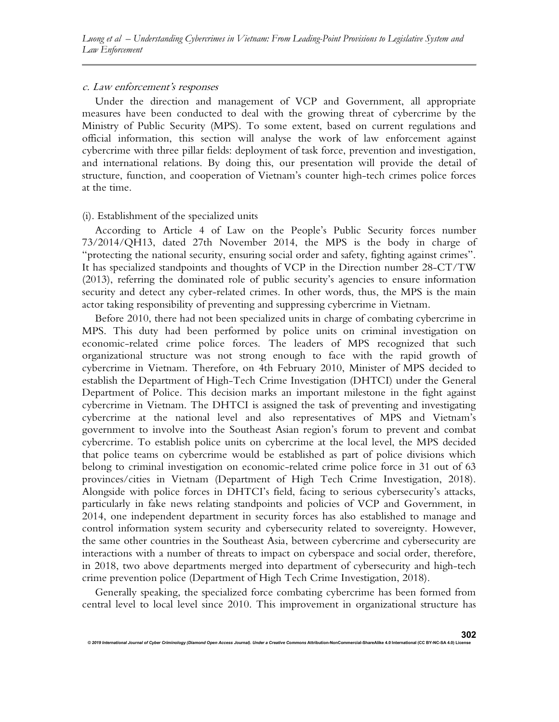#### c. Law enforcement's responses

Under the direction and management of VCP and Government, all appropriate measures have been conducted to deal with the growing threat of cybercrime by the Ministry of Public Security (MPS). To some extent, based on current regulations and official information, this section will analyse the work of law enforcement against cybercrime with three pillar fields: deployment of task force, prevention and investigation, and international relations. By doing this, our presentation will provide the detail of structure, function, and cooperation of Vietnam's counter high-tech crimes police forces at the time.

#### (i). Establishment of the specialized units

According to Article 4 of Law on the People's Public Security forces number 73/2014/QH13, dated 27th November 2014, the MPS is the body in charge of "protecting the national security, ensuring social order and safety, fighting against crimes". It has specialized standpoints and thoughts of VCP in the Direction number 28-CT/TW (2013), referring the dominated role of public security's agencies to ensure information security and detect any cyber-related crimes. In other words, thus, the MPS is the main actor taking responsibility of preventing and suppressing cybercrime in Vietnam.

Before 2010, there had not been specialized units in charge of combating cybercrime in MPS. This duty had been performed by police units on criminal investigation on economic-related crime police forces. The leaders of MPS recognized that such organizational structure was not strong enough to face with the rapid growth of cybercrime in Vietnam. Therefore, on 4th February 2010, Minister of MPS decided to establish the Department of High-Tech Crime Investigation (DHTCI) under the General Department of Police. This decision marks an important milestone in the fight against cybercrime in Vietnam. The DHTCI is assigned the task of preventing and investigating cybercrime at the national level and also representatives of MPS and Vietnam's government to involve into the Southeast Asian region's forum to prevent and combat cybercrime. To establish police units on cybercrime at the local level, the MPS decided that police teams on cybercrime would be established as part of police divisions which belong to criminal investigation on economic-related crime police force in 31 out of 63 provinces/cities in Vietnam (Department of High Tech Crime Investigation, 2018). Alongside with police forces in DHTCI's field, facing to serious cybersecurity's attacks, particularly in fake news relating standpoints and policies of VCP and Government, in 2014, one independent department in security forces has also established to manage and control information system security and cybersecurity related to sovereignty. However, the same other countries in the Southeast Asia, between cybercrime and cybersecurity are interactions with a number of threats to impact on cyberspace and social order, therefore, in 2018, two above departments merged into department of cybersecurity and high-tech crime prevention police (Department of High Tech Crime Investigation, 2018).

Generally speaking, the specialized force combating cybercrime has been formed from central level to local level since 2010. This improvement in organizational structure has

© 2019 International Journal of Cyber Criminology (Diamond Open Access Journal). Under a Creative Con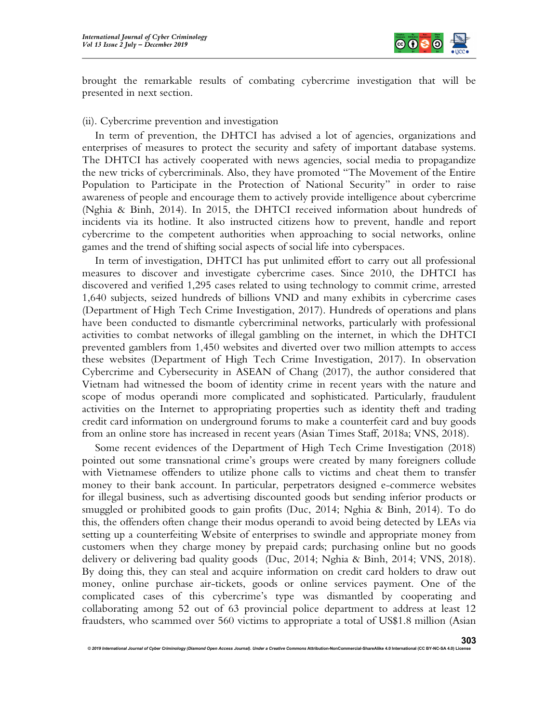

brought the remarkable results of combating cybercrime investigation that will be presented in next section.

#### (ii). Cybercrime prevention and investigation

In term of prevention, the DHTCI has advised a lot of agencies, organizations and enterprises of measures to protect the security and safety of important database systems. The DHTCI has actively cooperated with news agencies, social media to propagandize the new tricks of cybercriminals. Also, they have promoted "The Movement of the Entire Population to Participate in the Protection of National Security" in order to raise awareness of people and encourage them to actively provide intelligence about cybercrime (Nghia & Binh, 2014). In 2015, the DHTCI received information about hundreds of incidents via its hotline. It also instructed citizens how to prevent, handle and report cybercrime to the competent authorities when approaching to social networks, online games and the trend of shifting social aspects of social life into cyberspaces.

In term of investigation, DHTCI has put unlimited effort to carry out all professional measures to discover and investigate cybercrime cases. Since 2010, the DHTCI has discovered and verified 1,295 cases related to using technology to commit crime, arrested 1,640 subjects, seized hundreds of billions VND and many exhibits in cybercrime cases (Department of High Tech Crime Investigation, 2017). Hundreds of operations and plans have been conducted to dismantle cybercriminal networks, particularly with professional activities to combat networks of illegal gambling on the internet, in which the DHTCI prevented gamblers from 1,450 websites and diverted over two million attempts to access these websites (Department of High Tech Crime Investigation, 2017). In observation Cybercrime and Cybersecurity in ASEAN of Chang (2017), the author considered that Vietnam had witnessed the boom of identity crime in recent years with the nature and scope of modus operandi more complicated and sophisticated. Particularly, fraudulent activities on the Internet to appropriating properties such as identity theft and trading credit card information on underground forums to make a counterfeit card and buy goods from an online store has increased in recent years (Asian Times Staff, 2018a; VNS, 2018).

Some recent evidences of the Department of High Tech Crime Investigation (2018) pointed out some transnational crime's groups were created by many foreigners collude with Vietnamese offenders to utilize phone calls to victims and cheat them to transfer money to their bank account. In particular, perpetrators designed e-commerce websites for illegal business, such as advertising discounted goods but sending inferior products or smuggled or prohibited goods to gain profits (Duc, 2014; Nghia & Binh, 2014). To do this, the offenders often change their modus operandi to avoid being detected by LEAs via setting up a counterfeiting Website of enterprises to swindle and appropriate money from customers when they charge money by prepaid cards; purchasing online but no goods delivery or delivering bad quality goods (Duc, 2014; Nghia & Binh, 2014; VNS, 2018). By doing this, they can steal and acquire information on credit card holders to draw out money, online purchase air-tickets, goods or online services payment. One of the complicated cases of this cybercrime's type was dismantled by cooperating and collaborating among 52 out of 63 provincial police department to address at least 12 fraudsters, who scammed over 560 victims to appropriate a total of US\$1.8 million (Asian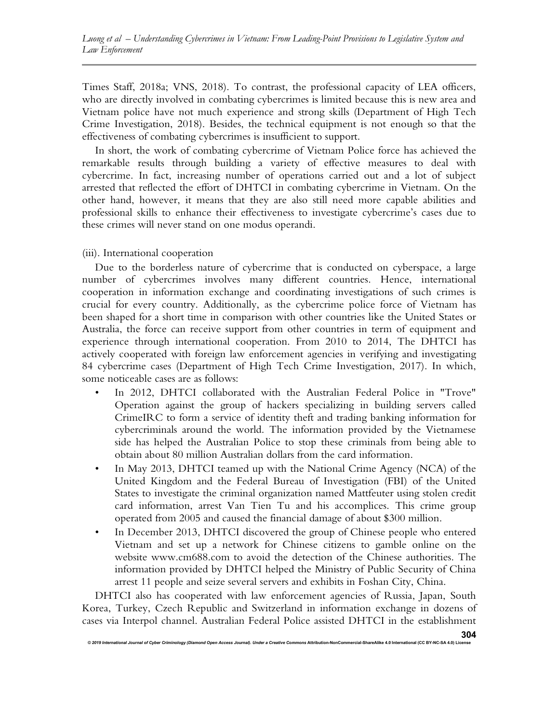Times Staff, 2018a; VNS, 2018). To contrast, the professional capacity of LEA officers, who are directly involved in combating cybercrimes is limited because this is new area and Vietnam police have not much experience and strong skills (Department of High Tech Crime Investigation, 2018). Besides, the technical equipment is not enough so that the effectiveness of combating cybercrimes is insufficient to support.

In short, the work of combating cybercrime of Vietnam Police force has achieved the remarkable results through building a variety of effective measures to deal with cybercrime. In fact, increasing number of operations carried out and a lot of subject arrested that reflected the effort of DHTCI in combating cybercrime in Vietnam. On the other hand, however, it means that they are also still need more capable abilities and professional skills to enhance their effectiveness to investigate cybercrime's cases due to these crimes will never stand on one modus operandi.

# (iii). International cooperation

Due to the borderless nature of cybercrime that is conducted on cyberspace, a large number of cybercrimes involves many different countries. Hence, international cooperation in information exchange and coordinating investigations of such crimes is crucial for every country. Additionally, as the cybercrime police force of Vietnam has been shaped for a short time in comparison with other countries like the United States or Australia, the force can receive support from other countries in term of equipment and experience through international cooperation. From 2010 to 2014, The DHTCI has actively cooperated with foreign law enforcement agencies in verifying and investigating 84 cybercrime cases (Department of High Tech Crime Investigation, 2017). In which, some noticeable cases are as follows:

- In 2012, DHTCI collaborated with the Australian Federal Police in "Trove" Operation against the group of hackers specializing in building servers called CrimeIRC to form a service of identity theft and trading banking information for cybercriminals around the world. The information provided by the Vietnamese side has helped the Australian Police to stop these criminals from being able to obtain about 80 million Australian dollars from the card information.
- In May 2013, DHTCI teamed up with the National Crime Agency (NCA) of the United Kingdom and the Federal Bureau of Investigation (FBI) of the United States to investigate the criminal organization named Mattfeuter using stolen credit card information, arrest Van Tien Tu and his accomplices. This crime group operated from 2005 and caused the financial damage of about \$300 million.
- In December 2013, DHTCI discovered the group of Chinese people who entered Vietnam and set up a network for Chinese citizens to gamble online on the website www.cm688.com to avoid the detection of the Chinese authorities. The information provided by DHTCI helped the Ministry of Public Security of China arrest 11 people and seize several servers and exhibits in Foshan City, China.

DHTCI also has cooperated with law enforcement agencies of Russia, Japan, South Korea, Turkey, Czech Republic and Switzerland in information exchange in dozens of cases via Interpol channel. Australian Federal Police assisted DHTCI in the establishment

© 2019 International Journal of Cyber Criminology (Diamond Open Access Journal). Under a Creative Comr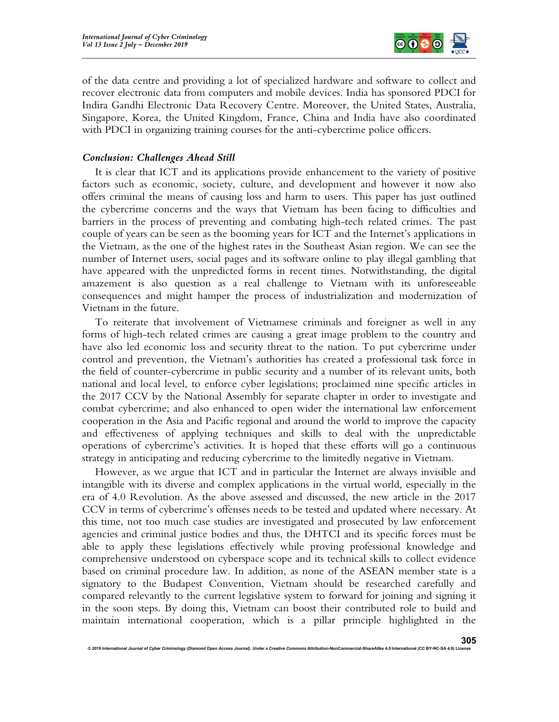

of the data centre and providing a lot of specialized hardware and software to collect and recover electronic data from computers and mobile devices. India has sponsored PDCI for Indira Gandhi Electronic Data Recovery Centre. Moreover, the United States, Australia, Singapore, Korea, the United Kingdom, France, China and India have also coordinated with PDCI in organizing training courses for the anti-cybercrime police officers.

# Conclusion: Challenges Ahead Still

It is clear that ICT and its applications provide enhancement to the variety of positive factors such as economic, society, culture, and development and however it now also offers criminal the means of causing loss and harm to users. This paper has just outlined the cybercrime concerns and the ways that Vietnam has been facing to difficulties and barriers in the process of preventing and combating high-tech related crimes. The past couple of years can be seen as the booming years for ICT and the Internet's applications in the Vietnam, as the one of the highest rates in the Southeast Asian region. We can see the number of Internet users, social pages and its software online to play illegal gambling that have appeared with the unpredicted forms in recent times. Notwithstanding, the digital amazement is also question as a real challenge to Vietnam with its unforeseeable consequences and might hamper the process of industrialization and modernization of Vietnam in the future.

To reiterate that involvement of Vietnamese criminals and foreigner as well in any forms of high-tech related crimes are causing a great image problem to the country and have also led economic loss and security threat to the nation. To put cybercrime under control and prevention, the Vietnam's authorities has created a professional task force in the field of counter-cybercrime in public security and a number of its relevant units, both national and local level, to enforce cyber legislations; proclaimed nine specific articles in the 2017 CCV by the National Assembly for separate chapter in order to investigate and combat cybercrime; and also enhanced to open wider the international law enforcement cooperation in the Asia and Pacific regional and around the world to improve the capacity and effectiveness of applying techniques and skills to deal with the unpredictable operations of cybercrime's activities. It is hoped that these efforts will go a continuous strategy in anticipating and reducing cybercrime to the limitedly negative in Vietnam.

However, as we argue that ICT and in particular the Internet are always invisible and intangible with its diverse and complex applications in the virtual world, especially in the era of 4.0 Revolution. As the above assessed and discussed, the new article in the 2017 CCV in terms of cybercrime's offenses needs to be tested and updated where necessary. At this time, not too much case studies are investigated and prosecuted by law enforcement agencies and criminal justice bodies and thus, the DHTCI and its specific forces must be able to apply these legislations effectively while proving professional knowledge and comprehensive understood on cyberspace scope and its technical skills to collect evidence based on criminal procedure law. In addition, as none of the ASEAN member state is a signatory to the Budapest Convention, Vietnam should be researched carefully and compared relevantly to the current legislative system to forward for joining and signing it in the soon steps. By doing this, Vietnam can boost their contributed role to build and maintain international cooperation, which is a pillar principle highlighted in the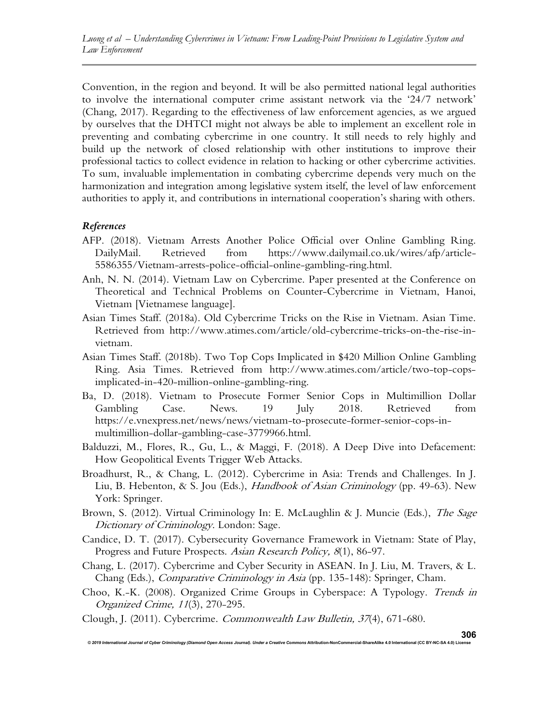Convention, in the region and beyond. It will be also permitted national legal authorities to involve the international computer crime assistant network via the '24/7 network' (Chang, 2017). Regarding to the effectiveness of law enforcement agencies, as we argued by ourselves that the DHTCI might not always be able to implement an excellent role in preventing and combating cybercrime in one country. It still needs to rely highly and build up the network of closed relationship with other institutions to improve their professional tactics to collect evidence in relation to hacking or other cybercrime activities. To sum, invaluable implementation in combating cybercrime depends very much on the harmonization and integration among legislative system itself, the level of law enforcement authorities to apply it, and contributions in international cooperation's sharing with others.

# References

- AFP. (2018). Vietnam Arrests Another Police Official over Online Gambling Ring. DailyMail. Retrieved from https://www.dailymail.co.uk/wires/afp/article-5586355/Vietnam-arrests-police-official-online-gambling-ring.html.
- Anh, N. N. (2014). Vietnam Law on Cybercrime. Paper presented at the Conference on Theoretical and Technical Problems on Counter-Cybercrime in Vietnam, Hanoi, Vietnam [Vietnamese language].
- Asian Times Staff. (2018a). Old Cybercrime Tricks on the Rise in Vietnam. Asian Time. Retrieved from http://www.atimes.com/article/old-cybercrime-tricks-on-the-rise-invietnam.
- Asian Times Staff. (2018b). Two Top Cops Implicated in \$420 Million Online Gambling Ring. Asia Times. Retrieved from http://www.atimes.com/article/two-top-copsimplicated-in-420-million-online-gambling-ring.
- Ba, D. (2018). Vietnam to Prosecute Former Senior Cops in Multimillion Dollar Gambling Case. News. 19 July 2018. Retrieved from https://e.vnexpress.net/news/news/vietnam-to-prosecute-former-senior-cops-inmultimillion-dollar-gambling-case-3779966.html.
- Balduzzi, M., Flores, R., Gu, L., & Maggi, F. (2018). A Deep Dive into Defacement: How Geopolitical Events Trigger Web Attacks.
- Broadhurst, R., & Chang, L. (2012). Cybercrime in Asia: Trends and Challenges. In J. Liu, B. Hebenton, & S. Jou (Eds.), *Handbook of Asian Criminology* (pp. 49-63). New York: Springer.
- Brown, S. (2012). Virtual Criminology In: E. McLaughlin & J. Muncie (Eds.), The Sage Dictionary of Criminology. London: Sage.
- Candice, D. T. (2017). Cybersecurity Governance Framework in Vietnam: State of Play, Progress and Future Prospects. Asian Research Policy, 8(1), 86-97.
- Chang, L. (2017). Cybercrime and Cyber Security in ASEAN. In J. Liu, M. Travers, & L. Chang (Eds.), Comparative Criminology in Asia (pp. 135-148): Springer, Cham.
- Choo, K.-K. (2008). Organized Crime Groups in Cyberspace: A Typology. Trends in Organized Crime, 11(3), 270-295.
- Clough, J. (2011). Cybercrime. Commonwealth Law Bulletin, 37(4), 671-680.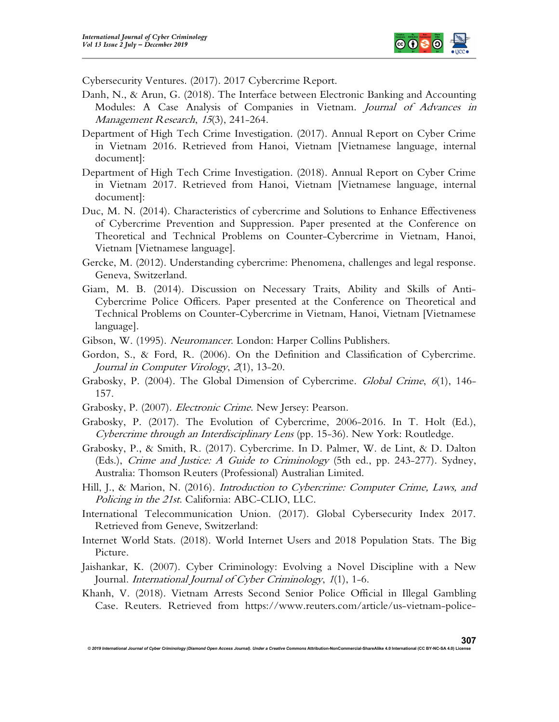

Cybersecurity Ventures. (2017). 2017 Cybercrime Report.

- Danh, N., & Arun, G. (2018). The Interface between Electronic Banking and Accounting Modules: A Case Analysis of Companies in Vietnam. Journal of Advances in Management Research, 15(3), 241-264.
- Department of High Tech Crime Investigation. (2017). Annual Report on Cyber Crime in Vietnam 2016. Retrieved from Hanoi, Vietnam [Vietnamese language, internal document]:
- Department of High Tech Crime Investigation. (2018). Annual Report on Cyber Crime in Vietnam 2017. Retrieved from Hanoi, Vietnam [Vietnamese language, internal document]:
- Duc, M. N. (2014). Characteristics of cybercrime and Solutions to Enhance Effectiveness of Cybercrime Prevention and Suppression. Paper presented at the Conference on Theoretical and Technical Problems on Counter-Cybercrime in Vietnam, Hanoi, Vietnam [Vietnamese language].
- Gercke, M. (2012). Understanding cybercrime: Phenomena, challenges and legal response. Geneva, Switzerland.
- Giam, M. B. (2014). Discussion on Necessary Traits, Ability and Skills of Anti-Cybercrime Police Officers. Paper presented at the Conference on Theoretical and Technical Problems on Counter-Cybercrime in Vietnam, Hanoi, Vietnam [Vietnamese language].
- Gibson, W. (1995). Neuromancer. London: Harper Collins Publishers.
- Gordon, S., & Ford, R. (2006). On the Definition and Classification of Cybercrime. Journal in Computer Virology, 2(1), 13-20.
- Grabosky, P. (2004). The Global Dimension of Cybercrime. Global Crime, 6(1), 146-157.
- Grabosky, P. (2007). Electronic Crime. New Jersey: Pearson.
- Grabosky, P. (2017). The Evolution of Cybercrime, 2006-2016. In T. Holt (Ed.), Cybercrime through an Interdisciplinary Lens (pp. 15-36). New York: Routledge.
- Grabosky, P., & Smith, R. (2017). Cybercrime. In D. Palmer, W. de Lint, & D. Dalton (Eds.), Crime and Justice: A Guide to Criminology (5th ed., pp. 243-277). Sydney, Australia: Thomson Reuters (Professional) Australian Limited.
- Hill, J., & Marion, N. (2016). *Introduction to Cybercrime: Computer Crime, Laws, and* Policing in the 21st. California: ABC-CLIO, LLC.
- International Telecommunication Union. (2017). Global Cybersecurity Index 2017. Retrieved from Geneve, Switzerland:
- Internet World Stats. (2018). World Internet Users and 2018 Population Stats. The Big Picture.
- Jaishankar, K. (2007). Cyber Criminology: Evolving a Novel Discipline with a New Journal. International Journal of Cyber Criminology, 1(1), 1-6.
- Khanh, V. (2018). Vietnam Arrests Second Senior Police Official in Illegal Gambling Case. Reuters. Retrieved from https://www.reuters.com/article/us-vietnam-police-